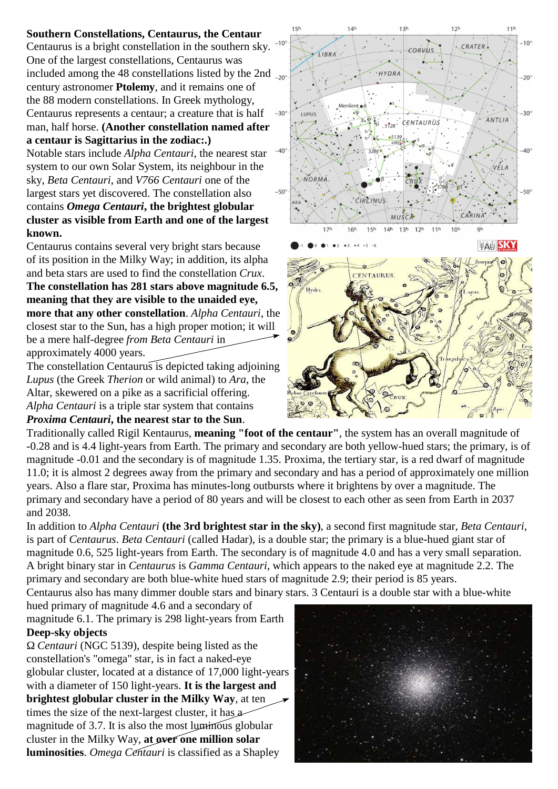## **Southern Constellations, Centaurus, the Centaur**

Centaurus is a bright constellation in the southern sky.  $10^{\circ}$ One of the largest constellations, Centaurus was included among the 48 constellations listed by the 2nd  $_{20^\circ}$ century astronomer **Ptolemy**, and it remains one of the 88 modern constellations. In Greek mythology, Centaurus represents a centaur; a creature that is half man, half horse. **(Another constellation named after a centaur is Sagittarius in the zodiac:.)** 

Notable stars include *Alpha Centauri*, the nearest star system to our own Solar System, its neighbour in the sky, *Beta Centauri*, and *V766 Centauri* one of the largest stars yet discovered. The constellation also contains *Omega Centauri***, the brightest globular cluster as visible from Earth and one of the largest known.**

Centaurus contains several very bright stars because of its position in the Milky Way; in addition, its alpha and beta stars are used to find the constellation *Crux*.

**The constellation has 281 stars above magnitude 6.5, meaning that they are visible to the unaided eye, more that any other constellation**. *Alpha Centauri*, the closest star to the Sun, has a high proper motion; it will be a mere half-degree *from Beta Centauri* in approximately 4000 years.

The constellation Centaurus is depicted taking adjoining *Lupus* (the Greek *Therion* or wild animal) to *Ara*, the Altar, skewered on a pike as a sacrificial offering. *Alpha Centauri* is a triple star system that contains *Proxima Centauri***, the nearest star to the Sun**.

 $12<sub>h</sub>$  $11h$  $15h$  $14h$  $13<sup>k</sup>$  $-10<sup>c</sup>$ CRATER LIBRA · HYDRA  $-20$  $-30^{\circ}$  $-30^{\circ}$ TUPUS **ANTIIA CENTAURUS**  $40^{1}$  $-40$ VĖLA **NORMA**  $-50^\circ$ CIRCINUS CARINA MUSCA  $14<sup>h</sup>$  $13<sup>k</sup>$  $10<sup>k</sup>$  $15<sup>k</sup>$  $16<sup>k</sup>$  $12<sup>k</sup>$  $11<sup>1</sup>$ **TAU SKY CENTAURUS** Hydr



Traditionally called Rigil Kentaurus, **meaning "foot of the centaur"**, the system has an overall magnitude of -0.28 and is 4.4 light-years from Earth. The primary and secondary are both yellow-hued stars; the primary, is of magnitude -0.01 and the secondary is of magnitude 1.35. Proxima, the tertiary star, is a red dwarf of magnitude 11.0; it is almost 2 degrees away from the primary and secondary and has a period of approximately one million years. Also a flare star, Proxima has minutes-long outbursts where it brightens by over a magnitude. The primary and secondary have a period of 80 years and will be closest to each other as seen from Earth in 2037 and 2038.

In addition to *Alpha Centauri* **(the 3rd brightest star in the sky)**, a second first magnitude star, *Beta Centauri*, is part of *Centaurus*. *Beta Centauri* (called Hadar), is a double star; the primary is a blue-hued giant star of magnitude 0.6, 525 light-years from Earth. The secondary is of magnitude 4.0 and has a very small separation. A bright binary star in *Centaurus* is *Gamma Centauri*, which appears to the naked eye at magnitude 2.2. The primary and secondary are both blue-white hued stars of magnitude 2.9; their period is 85 years. Centaurus also has many dimmer double stars and binary stars. 3 Centauri is a double star with a blue-white

hued primary of magnitude 4.6 and a secondary of magnitude 6.1. The primary is 298 light-years from Earth **Deep-sky objects**

 *Centauri* (NGC 5139), despite being listed as the constellation's "omega" star, is in fact a naked-eye globular cluster, located at a distance of 17,000 light-years with a diameter of 150 light-years. **It is the largest and brightest globular cluster in the Milky Way**, at ten times the size of the next-largest cluster, it has a magnitude of 3.7. It is also the most luminous globular cluster in the Milky Way, **at over one million solar luminosities**. *Omega Centauri* is classified as a Shapley

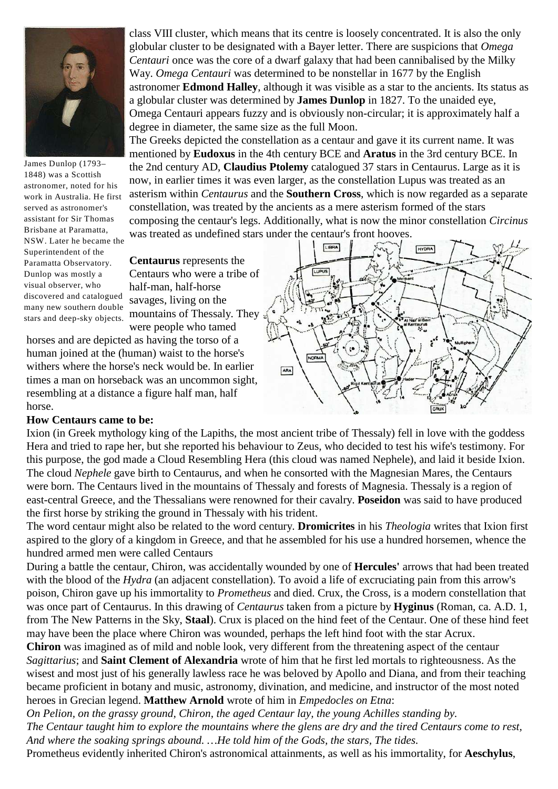

James Dunlop (1793– 1848) was a Scottish astronomer, noted for his work in Australia. He first served as astronomer's assistant for Sir Thomas Brisbane at Paramatta, NSW. Later he became the Superintendent of the Paramatta Observatory. Dunlop was mostly a visual observer, who discovered and catalogued many new southern double stars and deep-sky objects.

class VIII cluster, which means that its centre is loosely concentrated. It is also the only globular cluster to be designated with a Bayer letter. There are suspicions that *Omega Centauri* once was the core of a dwarf galaxy that had been cannibalised by the Milky Way. *Omega Centauri* was determined to be nonstellar in 1677 by the English astronomer **Edmond Halley**, although it was visible as a star to the ancients. Its status as a globular cluster was determined by **James Dunlop** in 1827. To the unaided eye, Omega Centauri appears fuzzy and is obviously non-circular; it is approximately half a degree in diameter, the same size as the full Moon.

The Greeks depicted the constellation as a centaur and gave it its current name. It was mentioned by **Eudoxus** in the 4th century BCE and **Aratus** in the 3rd century BCE. In the 2nd century AD, **Claudius Ptolemy** catalogued 37 stars in Centaurus. Large as it is now, in earlier times it was even larger, as the constellation Lupus was treated as an asterism within *Centaurus* and the **Southern Cross**, which is now regarded as a separate constellation, was treated by the ancients as a mere asterism formed of the stars composing the centaur's legs. Additionally, what is now the minor constellation *Circinus* was treated as undefined stars under the centaur's front hooves.

LIBRA

**Centaurus** represents the Centaurs who were a tribe of half-man, half-horse savages, living on the mountains of Thessaly. They were people who tamed

horses and are depicted as having the torso of a human joined at the (human) waist to the horse's withers where the horse's neck would be. In earlier times a man on horseback was an uncommon sight, resembling at a distance a figure half man, half horse.

## ARA

HYDRA

## **How Centaurs came to be:**

Ixion (in Greek mythology king of the Lapiths, the most ancient tribe of Thessaly) fell in love with the goddess Hera and tried to rape her, but she reported his behaviour to Zeus, who decided to test his wife's testimony. For this purpose, the god made a Cloud Resembling Hera (this cloud was named Nephele), and laid it beside Ixion. The cloud *Nephele* gave birth to Centaurus, and when he consorted with the Magnesian Mares, the Centaurs were born. The Centaurs lived in the mountains of Thessaly and forests of Magnesia. Thessaly is a region of east-central Greece, and the Thessalians were renowned for their cavalry. **Poseidon** was said to have produced the first horse by striking the ground in Thessaly with his trident.

The word centaur might also be related to the word century. **Dromicrites** in his *Theologia* writes that Ixion first aspired to the glory of a kingdom in Greece, and that he assembled for his use a hundred horsemen, whence the hundred armed men were called Centaurs

During a battle the centaur, Chiron, was accidentally wounded by one of **Hercules'** arrows that had been treated with the blood of the *Hydra* (an adjacent constellation). To avoid a life of excruciating pain from this arrow's poison, Chiron gave up his immortality to *Prometheus* and died. Crux, the Cross, is a modern constellation that was once part of Centaurus. In this drawing of *Centaurus* taken from a picture by **Hyginus** (Roman, ca. A.D. 1, from The New Patterns in the Sky, **Staal**). Crux is placed on the hind feet of the Centaur. One of these hind feet may have been the place where Chiron was wounded, perhaps the left hind foot with the star Acrux.

**Chiron** was imagined as of mild and noble look, very different from the threatening aspect of the centaur *Sagittarius*; and **Saint Clement of Alexandria** wrote of him that he first led mortals to righteousness. As the wisest and most just of his generally lawless race he was beloved by Apollo and Diana, and from their teaching became proficient in botany and music, astronomy, divination, and medicine, and instructor of the most noted heroes in Grecian legend. **Matthew Arnold** wrote of him in *Empedocles on Etna*:

*On Pelion, on the grassy ground, Chiron, the aged Centaur lay, the young Achilles standing by. The Centaur taught him to explore the mountains where the glens are dry and the tired Centaurs come to rest, And where the soaking springs abound. …He told him of the Gods, the stars, The tides.*

Prometheus evidently inherited Chiron's astronomical attainments, as well as his immortality, for **Aeschylus**,